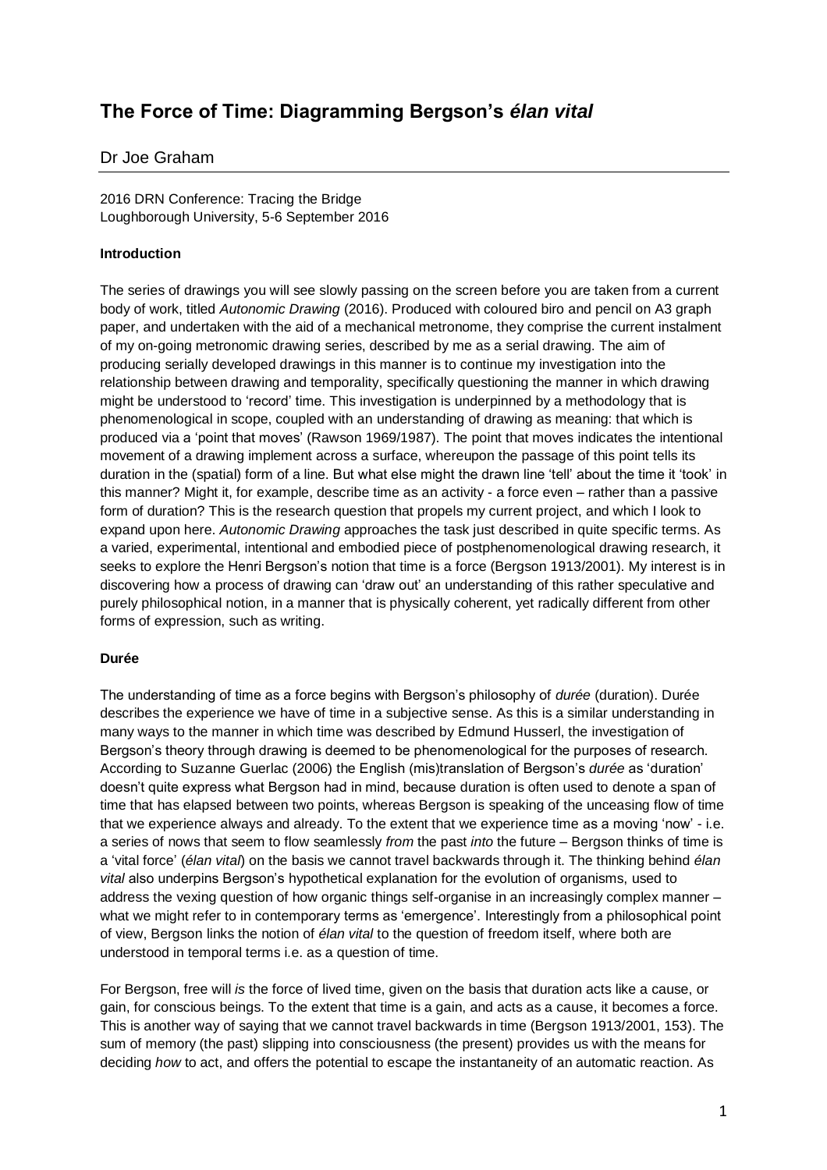# **The Force of Time: Diagramming Bergson's** *élan vital*

## Dr Joe Graham

2016 DRN Conference: Tracing the Bridge Loughborough University, 5-6 September 2016

## **Introduction**

The series of drawings you will see slowly passing on the screen before you are taken from a current body of work, titled *Autonomic Drawing* (2016). Produced with coloured biro and pencil on A3 graph paper, and undertaken with the aid of a mechanical metronome, they comprise the current instalment of my on-going metronomic drawing series, described by me as a serial drawing. The aim of producing serially developed drawings in this manner is to continue my investigation into the relationship between drawing and temporality, specifically questioning the manner in which drawing might be understood to 'record' time. This investigation is underpinned by a methodology that is phenomenological in scope, coupled with an understanding of drawing as meaning: that which is produced via a 'point that moves' (Rawson 1969/1987). The point that moves indicates the intentional movement of a drawing implement across a surface, whereupon the passage of this point tells its duration in the (spatial) form of a line. But what else might the drawn line 'tell' about the time it 'took' in this manner? Might it, for example, describe time as an activity - a force even – rather than a passive form of duration? This is the research question that propels my current project, and which I look to expand upon here. *Autonomic Drawing* approaches the task just described in quite specific terms. As a varied, experimental, intentional and embodied piece of postphenomenological drawing research, it seeks to explore the Henri Bergson's notion that time is a force (Bergson 1913/2001). My interest is in discovering how a process of drawing can 'draw out' an understanding of this rather speculative and purely philosophical notion, in a manner that is physically coherent, yet radically different from other forms of expression, such as writing.

### **Durée**

The understanding of time as a force begins with Bergson's philosophy of *durée* (duration). Durée describes the experience we have of time in a subjective sense. As this is a similar understanding in many ways to the manner in which time was described by Edmund Husserl, the investigation of Bergson's theory through drawing is deemed to be phenomenological for the purposes of research. According to Suzanne Guerlac (2006) the English (mis)translation of Bergson's *durée* as 'duration' doesn't quite express what Bergson had in mind, because duration is often used to denote a span of time that has elapsed between two points, whereas Bergson is speaking of the unceasing flow of time that we experience always and already. To the extent that we experience time as a moving 'now' - i.e. a series of nows that seem to flow seamlessly *from* the past *into* the future – Bergson thinks of time is a 'vital force' (*élan vital*) on the basis we cannot travel backwards through it. The thinking behind *élan vital* also underpins Bergson's hypothetical explanation for the evolution of organisms, used to address the vexing question of how organic things self-organise in an increasingly complex manner – what we might refer to in contemporary terms as 'emergence'. Interestingly from a philosophical point of view, Bergson links the notion of *élan vital* to the question of freedom itself, where both are understood in temporal terms i.e. as a question of time.

For Bergson, free will *is* the force of lived time, given on the basis that duration acts like a cause, or gain, for conscious beings. To the extent that time is a gain, and acts as a cause, it becomes a force. This is another way of saying that we cannot travel backwards in time (Bergson 1913/2001, 153). The sum of memory (the past) slipping into consciousness (the present) provides us with the means for deciding *how* to act, and offers the potential to escape the instantaneity of an automatic reaction. As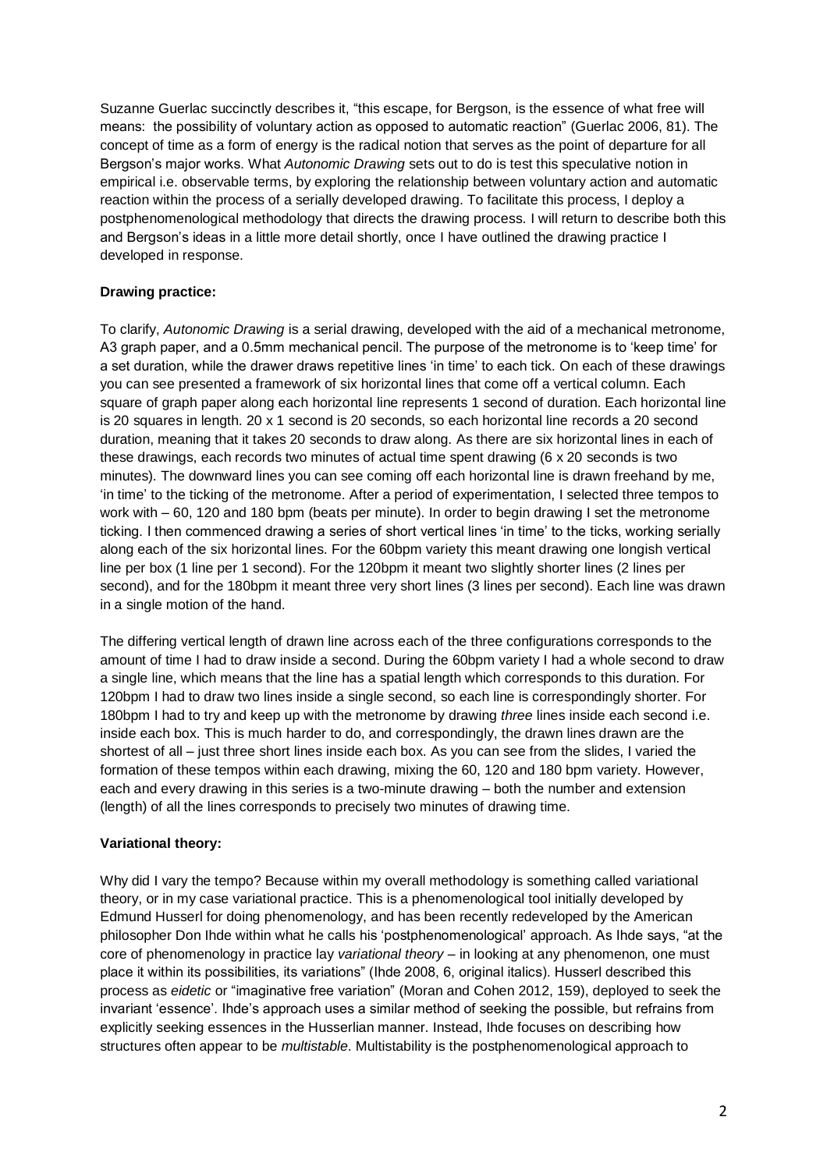Suzanne Guerlac succinctly describes it, "this escape, for Bergson, is the essence of what free will means: the possibility of voluntary action as opposed to automatic reaction" (Guerlac 2006, 81). The concept of time as a form of energy is the radical notion that serves as the point of departure for all Bergson's major works. What *Autonomic Drawing* sets out to do is test this speculative notion in empirical i.e. observable terms, by exploring the relationship between voluntary action and automatic reaction within the process of a serially developed drawing. To facilitate this process, I deploy a postphenomenological methodology that directs the drawing process. I will return to describe both this and Bergson's ideas in a little more detail shortly, once I have outlined the drawing practice I developed in response.

## **Drawing practice:**

To clarify, *Autonomic Drawing* is a serial drawing, developed with the aid of a mechanical metronome, A3 graph paper, and a 0.5mm mechanical pencil. The purpose of the metronome is to 'keep time' for a set duration, while the drawer draws repetitive lines 'in time' to each tick. On each of these drawings you can see presented a framework of six horizontal lines that come off a vertical column. Each square of graph paper along each horizontal line represents 1 second of duration. Each horizontal line is 20 squares in length. 20 x 1 second is 20 seconds, so each horizontal line records a 20 second duration, meaning that it takes 20 seconds to draw along. As there are six horizontal lines in each of these drawings, each records two minutes of actual time spent drawing (6 x 20 seconds is two minutes). The downward lines you can see coming off each horizontal line is drawn freehand by me, 'in time' to the ticking of the metronome. After a period of experimentation, I selected three tempos to work with – 60, 120 and 180 bpm (beats per minute). In order to begin drawing I set the metronome ticking. I then commenced drawing a series of short vertical lines 'in time' to the ticks, working serially along each of the six horizontal lines. For the 60bpm variety this meant drawing one longish vertical line per box (1 line per 1 second). For the 120bpm it meant two slightly shorter lines (2 lines per second), and for the 180bpm it meant three very short lines (3 lines per second). Each line was drawn in a single motion of the hand.

The differing vertical length of drawn line across each of the three configurations corresponds to the amount of time I had to draw inside a second. During the 60bpm variety I had a whole second to draw a single line, which means that the line has a spatial length which corresponds to this duration. For 120bpm I had to draw two lines inside a single second, so each line is correspondingly shorter. For 180bpm I had to try and keep up with the metronome by drawing *three* lines inside each second i.e. inside each box. This is much harder to do, and correspondingly, the drawn lines drawn are the shortest of all – just three short lines inside each box. As you can see from the slides, I varied the formation of these tempos within each drawing, mixing the 60, 120 and 180 bpm variety. However, each and every drawing in this series is a two-minute drawing – both the number and extension (length) of all the lines corresponds to precisely two minutes of drawing time.

### **Variational theory:**

Why did I vary the tempo? Because within my overall methodology is something called variational theory, or in my case variational practice. This is a phenomenological tool initially developed by Edmund Husserl for doing phenomenology, and has been recently redeveloped by the American philosopher Don Ihde within what he calls his 'postphenomenological' approach. As Ihde says, "at the core of phenomenology in practice lay *variational theory* – in looking at any phenomenon, one must place it within its possibilities, its variations" (Ihde 2008, 6, original italics). Husserl described this process as *eidetic* or "imaginative free variation" (Moran and Cohen 2012, 159), deployed to seek the invariant 'essence'. Ihde's approach uses a similar method of seeking the possible, but refrains from explicitly seeking essences in the Husserlian manner. Instead, Ihde focuses on describing how structures often appear to be *multistable*. Multistability is the postphenomenological approach to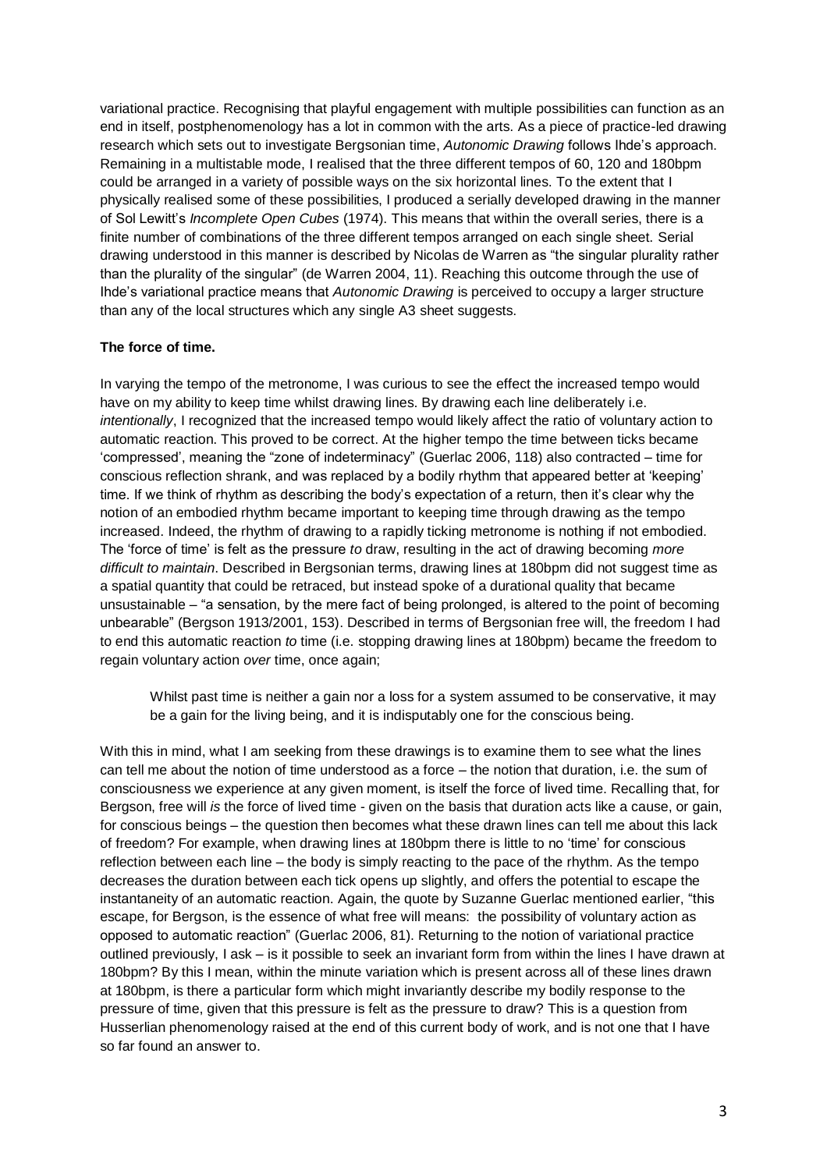variational practice. Recognising that playful engagement with multiple possibilities can function as an end in itself, postphenomenology has a lot in common with the arts. As a piece of practice-led drawing research which sets out to investigate Bergsonian time, *Autonomic Drawing* follows Ihde's approach. Remaining in a multistable mode, I realised that the three different tempos of 60, 120 and 180bpm could be arranged in a variety of possible ways on the six horizontal lines. To the extent that I physically realised some of these possibilities, I produced a serially developed drawing in the manner of Sol Lewitt's *Incomplete Open Cubes* (1974). This means that within the overall series, there is a finite number of combinations of the three different tempos arranged on each single sheet. Serial drawing understood in this manner is described by Nicolas de Warren as "the singular plurality rather than the plurality of the singular" (de Warren 2004, 11). Reaching this outcome through the use of Ihde's variational practice means that *Autonomic Drawing* is perceived to occupy a larger structure than any of the local structures which any single A3 sheet suggests.

### **The force of time.**

In varying the tempo of the metronome, I was curious to see the effect the increased tempo would have on my ability to keep time whilst drawing lines. By drawing each line deliberately i.e. *intentionally*, I recognized that the increased tempo would likely affect the ratio of voluntary action to automatic reaction. This proved to be correct. At the higher tempo the time between ticks became 'compressed', meaning the "zone of indeterminacy" (Guerlac 2006, 118) also contracted – time for conscious reflection shrank, and was replaced by a bodily rhythm that appeared better at 'keeping' time. If we think of rhythm as describing the body's expectation of a return, then it's clear why the notion of an embodied rhythm became important to keeping time through drawing as the tempo increased. Indeed, the rhythm of drawing to a rapidly ticking metronome is nothing if not embodied. The 'force of time' is felt as the pressure *to* draw, resulting in the act of drawing becoming *more difficult to maintain*. Described in Bergsonian terms, drawing lines at 180bpm did not suggest time as a spatial quantity that could be retraced, but instead spoke of a durational quality that became unsustainable – "a sensation, by the mere fact of being prolonged, is altered to the point of becoming unbearable" (Bergson 1913/2001, 153). Described in terms of Bergsonian free will, the freedom I had to end this automatic reaction *to* time (i.e. stopping drawing lines at 180bpm) became the freedom to regain voluntary action *over* time, once again;

Whilst past time is neither a gain nor a loss for a system assumed to be conservative, it may be a gain for the living being, and it is indisputably one for the conscious being.

With this in mind, what I am seeking from these drawings is to examine them to see what the lines can tell me about the notion of time understood as a force – the notion that duration, i.e. the sum of consciousness we experience at any given moment, is itself the force of lived time. Recalling that, for Bergson, free will *is* the force of lived time - given on the basis that duration acts like a cause, or gain, for conscious beings – the question then becomes what these drawn lines can tell me about this lack of freedom? For example, when drawing lines at 180bpm there is little to no 'time' for conscious reflection between each line – the body is simply reacting to the pace of the rhythm. As the tempo decreases the duration between each tick opens up slightly, and offers the potential to escape the instantaneity of an automatic reaction. Again, the quote by Suzanne Guerlac mentioned earlier, "this escape, for Bergson, is the essence of what free will means: the possibility of voluntary action as opposed to automatic reaction" (Guerlac 2006, 81). Returning to the notion of variational practice outlined previously, I ask – is it possible to seek an invariant form from within the lines I have drawn at 180bpm? By this I mean, within the minute variation which is present across all of these lines drawn at 180bpm, is there a particular form which might invariantly describe my bodily response to the pressure of time, given that this pressure is felt as the pressure to draw? This is a question from Husserlian phenomenology raised at the end of this current body of work, and is not one that I have so far found an answer to.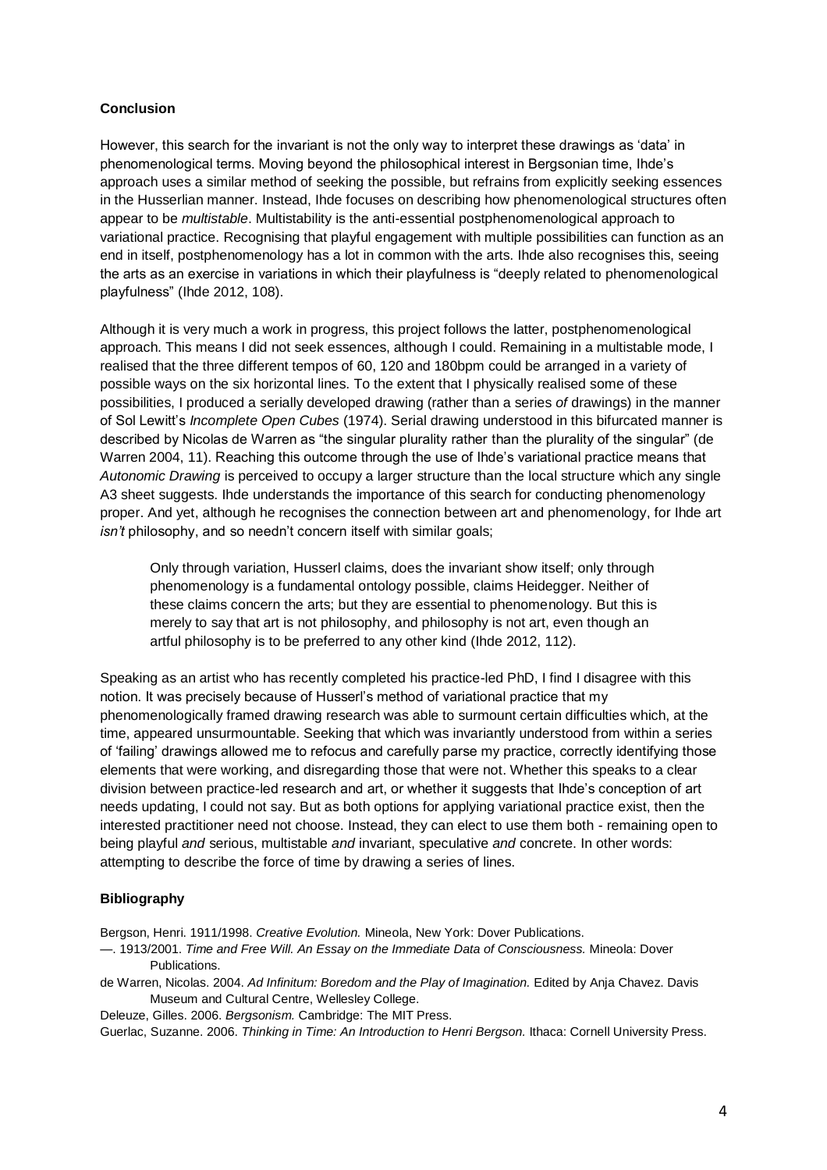## **Conclusion**

However, this search for the invariant is not the only way to interpret these drawings as 'data' in phenomenological terms. Moving beyond the philosophical interest in Bergsonian time, Ihde's approach uses a similar method of seeking the possible, but refrains from explicitly seeking essences in the Husserlian manner. Instead, Ihde focuses on describing how phenomenological structures often appear to be *multistable*. Multistability is the anti-essential postphenomenological approach to variational practice. Recognising that playful engagement with multiple possibilities can function as an end in itself, postphenomenology has a lot in common with the arts. Ihde also recognises this, seeing the arts as an exercise in variations in which their playfulness is "deeply related to phenomenological playfulness" (Ihde 2012, 108).

Although it is very much a work in progress, this project follows the latter, postphenomenological approach. This means I did not seek essences, although I could. Remaining in a multistable mode, I realised that the three different tempos of 60, 120 and 180bpm could be arranged in a variety of possible ways on the six horizontal lines. To the extent that I physically realised some of these possibilities, I produced a serially developed drawing (rather than a series *of* drawings) in the manner of Sol Lewitt's *Incomplete Open Cubes* (1974). Serial drawing understood in this bifurcated manner is described by Nicolas de Warren as "the singular plurality rather than the plurality of the singular" (de Warren 2004, 11). Reaching this outcome through the use of Ihde's variational practice means that *Autonomic Drawing* is perceived to occupy a larger structure than the local structure which any single A3 sheet suggests. Ihde understands the importance of this search for conducting phenomenology proper. And yet, although he recognises the connection between art and phenomenology, for Ihde art *isn't* philosophy, and so needn't concern itself with similar goals;

Only through variation, Husserl claims, does the invariant show itself; only through phenomenology is a fundamental ontology possible, claims Heidegger. Neither of these claims concern the arts; but they are essential to phenomenology. But this is merely to say that art is not philosophy, and philosophy is not art, even though an artful philosophy is to be preferred to any other kind (Ihde 2012, 112).

Speaking as an artist who has recently completed his practice-led PhD, I find I disagree with this notion. It was precisely because of Husserl's method of variational practice that my phenomenologically framed drawing research was able to surmount certain difficulties which, at the time, appeared unsurmountable. Seeking that which was invariantly understood from within a series of 'failing' drawings allowed me to refocus and carefully parse my practice, correctly identifying those elements that were working, and disregarding those that were not. Whether this speaks to a clear division between practice-led research and art, or whether it suggests that Ihde's conception of art needs updating, I could not say. But as both options for applying variational practice exist, then the interested practitioner need not choose. Instead, they can elect to use them both - remaining open to being playful *and* serious, multistable *and* invariant, speculative *and* concrete. In other words: attempting to describe the force of time by drawing a series of lines.

### **Bibliography**

Bergson, Henri. 1911/1998. *Creative Evolution.* Mineola, New York: Dover Publications.

- —. 1913/2001. *Time and Free Will. An Essay on the Immediate Data of Consciousness.* Mineola: Dover Publications.
- de Warren, Nicolas. 2004. *Ad Infinitum: Boredom and the Play of Imagination.* Edited by Anja Chavez. Davis Museum and Cultural Centre, Wellesley College.
- Deleuze, Gilles. 2006. *Bergsonism.* Cambridge: The MIT Press.

Guerlac, Suzanne. 2006. *Thinking in Time: An Introduction to Henri Bergson.* Ithaca: Cornell University Press.